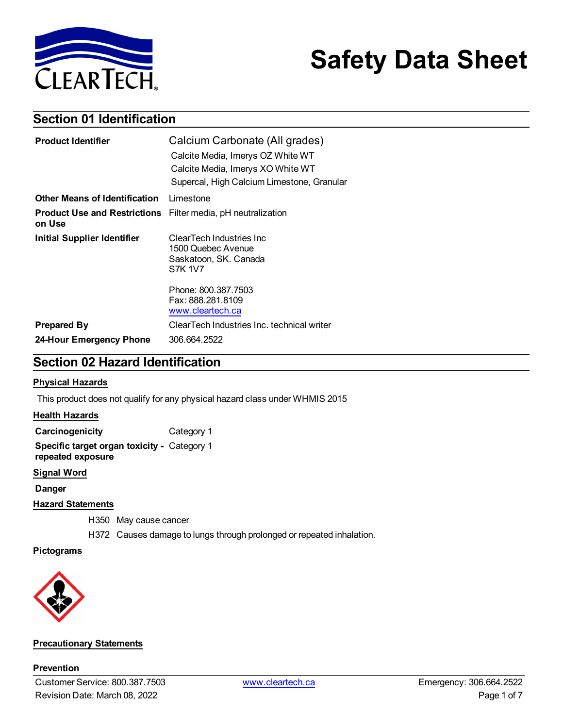

# **Safety Data Sheet**

### **Section 01 Identification**

| <b>Product Identifier</b>                                                     | Calcium Carbonate (All grades)                                                            |  |
|-------------------------------------------------------------------------------|-------------------------------------------------------------------------------------------|--|
|                                                                               | Calcite Media, Imerys OZ White WT                                                         |  |
|                                                                               | Calcite Media, Imerys XO White WT                                                         |  |
|                                                                               | Supercal, High Calcium Limestone, Granular                                                |  |
| <b>Other Means of Identification</b>                                          | Limestone                                                                                 |  |
| <b>Product Use and Restrictions</b> Filter media, pH neutralization<br>on Use |                                                                                           |  |
| Initial Supplier Identifier                                                   | ClearTech Industries Inc<br>1500 Quebec Avenue<br>Saskatoon, SK. Canada<br><b>S7K 1V7</b> |  |
|                                                                               | Phone: 800.387.7503<br>Fax: 888.281.8109<br>www.cleartech.ca                              |  |
| <b>Prepared By</b>                                                            | ClearTech Industries Inc. technical writer                                                |  |
| 24-Hour Emergency Phone                                                       | 306.664.2522                                                                              |  |

### **Section 02 Hazard Identification**

### **Physical Hazards**

This product does not qualify for any physical hazard class under WHMIS 2015

### **Health Hazards**

**Carcinogenicity** Category 1

**Specific target organ toxicity -** Category 1 **repeated exposure**

### **Signal Word**

**Danger**

### **Hazard Statements**

H350 May cause cancer

H372 Causes damage to lungs through prolonged or repeated inhalation.

### **Pictograms**



#### **Precautionary Statements**

**Prevention**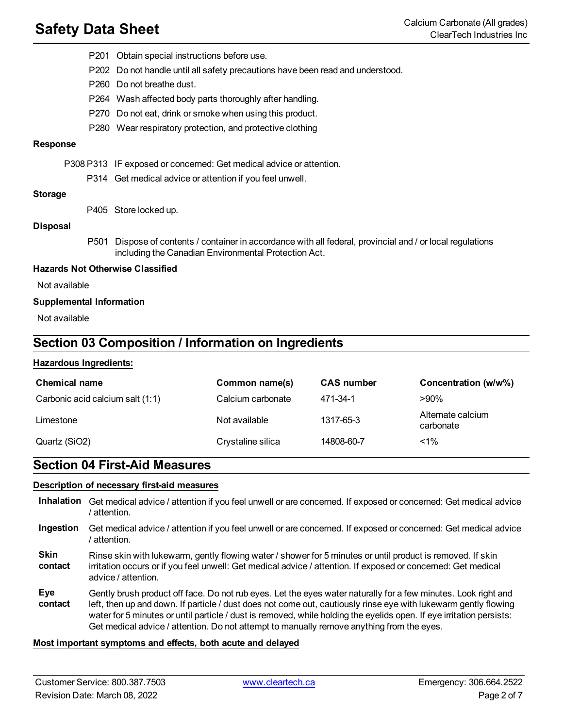- P201 Obtain special instructions before use.
- P202 Do not handle until all safety precautions have been read and understood.
- P260 Do not breathe dust.
- P264 Wash affected body parts thoroughly after handling.
- P270 Do not eat, drink or smoke when using this product.
- P280 Wear respiratory protection, and protective clothing

#### **Response**

P308 P313 IF exposed or concerned: Get medical advice or attention.

P314 Get medical advice or attention if you feel unwell.

#### **Storage**

P405 Store locked up.

#### **Disposal**

P501 Dispose of contents / container in accordance with all federal, provincial and / or local regulations including the Canadian Environmental Protection Act.

#### **Hazards Not Otherwise Classified**

Not available

#### **Supplemental Information**

Not available

### **Section 03 Composition / Information on Ingredients**

#### **Hazardous Ingredients:**

| <b>Chemical name</b>             | Common name(s)    | <b>CAS number</b> | Concentration (w/w%)           |
|----------------------------------|-------------------|-------------------|--------------------------------|
| Carbonic acid calcium salt (1:1) | Calcium carbonate | 471-34-1          | $>90\%$                        |
| Limestone                        | Not available     | 1317-65-3         | Alternate calcium<br>carbonate |
| Quartz (SiO2)                    | Crystaline silica | 14808-60-7        | $< 1\%$                        |

### **Section 04 First-Aid Measures**

### **Description of necessary first-aid measures**

- **Inhalation** Get medical advice / attention if you feel unwell or are concerned. If exposed or concerned: Get medical advice / attention.
- **Ingestion** Get medical advice / attention if you feel unwell or are concerned. If exposed or concerned: Get medical advice / attention.
- **Skin contact** Rinse skin with lukewarm, gently flowing water / shower for 5 minutes or until product is removed. If skin irritation occurs or if you feel unwell: Get medical advice / attention. If exposed or concerned: Get medical advice / attention.
- **Eye contact** Gently brush product off face. Do not rub eyes. Let the eyes water naturally for a few minutes. Look right and left, then up and down. If particle / dust does not come out, cautiously rinse eye with lukewarm gently flowing water for 5 minutes or until particle / dust is removed, while holding the eyelids open. If eye irritation persists: Get medical advice / attention. Do not attempt to manually remove anything from the eyes.

#### **Most important symptoms and effects, both acute and delayed**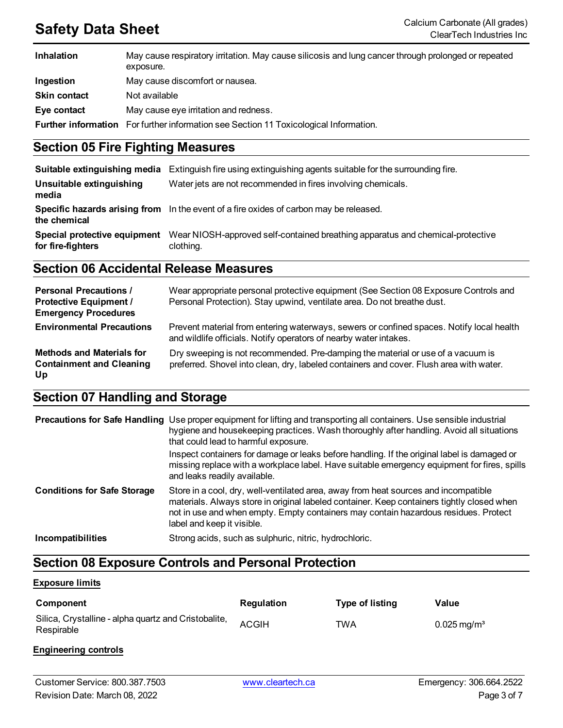| <b>Inhalation</b>   | May cause respiratory irritation. May cause silicosis and lung cancer through prolonged or repeated<br>exposure. |
|---------------------|------------------------------------------------------------------------------------------------------------------|
| Ingestion           | May cause discomfort or nausea.                                                                                  |
| <b>Skin contact</b> | Not available                                                                                                    |
| Eye contact         | May cause eye irritation and redness.                                                                            |
|                     | <b>Further information</b> For further information see Section 11 Toxicological Information.                     |

### **Section 05 Fire Fighting Measures**

| Suitable extinguishing media                      | Extinguish fire using extinguishing agents suitable for the surrounding fire.               |
|---------------------------------------------------|---------------------------------------------------------------------------------------------|
| Unsuitable extinguishing<br>media                 | Water jets are not recommended in fires involving chemicals.                                |
| the chemical                                      | Specific hazards arising from In the event of a fire oxides of carbon may be released.      |
| Special protective equipment<br>for fire-fighters | Wear NIOSH-approved self-contained breathing apparatus and chemical-protective<br>clothing. |

### **Section 06 Accidental Release Measures**

| <b>Personal Precautions /</b><br><b>Protective Equipment /</b><br><b>Emergency Procedures</b> | Wear appropriate personal protective equipment (See Section 08 Exposure Controls and<br>Personal Protection). Stay upwind, ventilate area. Do not breathe dust.            |
|-----------------------------------------------------------------------------------------------|----------------------------------------------------------------------------------------------------------------------------------------------------------------------------|
| <b>Environmental Precautions</b>                                                              | Prevent material from entering waterways, sewers or confined spaces. Notify local health<br>and wildlife officials. Notify operators of nearby water intakes.              |
| <b>Methods and Materials for</b><br><b>Containment and Cleaning</b><br>Up                     | Dry sweeping is not recommended. Pre-damping the material or use of a vacuum is<br>preferred. Shovel into clean, dry, labeled containers and cover. Flush area with water. |

## **Section 07 Handling and Storage**

|                                    | <b>Precautions for Safe Handling</b> Use proper equipment for lifting and transporting all containers. Use sensible industrial<br>hygiene and housekeeping practices. Wash thoroughly after handling. Avoid all situations<br>that could lead to harmful exposure.<br>Inspect containers for damage or leaks before handling. If the original label is damaged or<br>missing replace with a workplace label. Have suitable emergency equipment for fires, spills<br>and leaks readily available. |
|------------------------------------|--------------------------------------------------------------------------------------------------------------------------------------------------------------------------------------------------------------------------------------------------------------------------------------------------------------------------------------------------------------------------------------------------------------------------------------------------------------------------------------------------|
| <b>Conditions for Safe Storage</b> | Store in a cool, dry, well-ventilated area, away from heat sources and incompatible<br>materials. Always store in original labeled container. Keep containers tightly closed when<br>not in use and when empty. Empty containers may contain hazardous residues. Protect<br>label and keep it visible.                                                                                                                                                                                           |
| Incompatibilities                  | Strong acids, such as sulphuric, nitric, hydrochloric.                                                                                                                                                                                                                                                                                                                                                                                                                                           |

## **Section 08 Exposure Controls and Personal Protection**

### **Exposure limits**

| Component                                                          | <b>Regulation</b> | Type of listing | Value                     |
|--------------------------------------------------------------------|-------------------|-----------------|---------------------------|
| Silica, Crystalline - alpha quartz and Cristobalite,<br>Respirable | <b>ACGIH</b>      | TWA             | $0.025 \,\mathrm{mg/m^3}$ |

### **Engineering controls**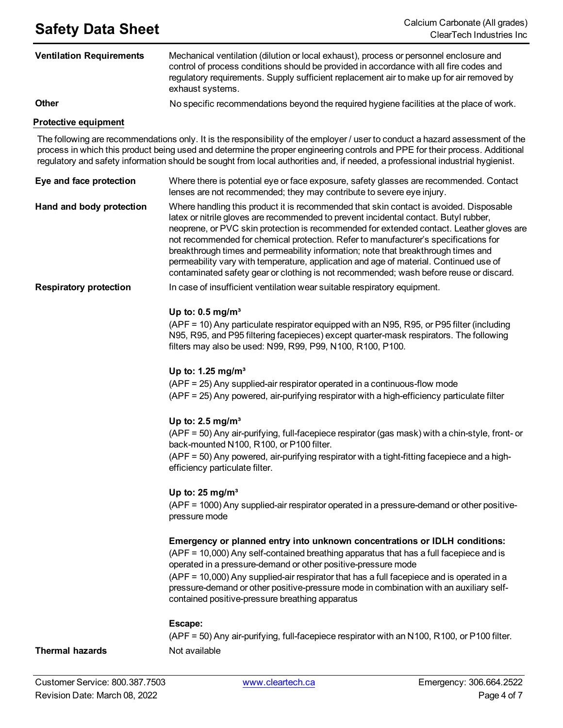| <b>Ventilation Requirements</b> | Mechanical ventilation (dilution or local exhaust), process or personnel enclosure and<br>control of process conditions should be provided in accordance with all fire codes and<br>regulatory requirements. Supply sufficient replacement air to make up for air removed by<br>exhaust systems. |
|---------------------------------|--------------------------------------------------------------------------------------------------------------------------------------------------------------------------------------------------------------------------------------------------------------------------------------------------|
| Other                           | No specific recommendations beyond the required hygiene facilities at the place of work.                                                                                                                                                                                                         |
| <b>Protective equipment</b>     |                                                                                                                                                                                                                                                                                                  |
|                                 | The following are recommendations only. It is the responsibility of the employer / user to conduct a hazard assessment of the                                                                                                                                                                    |

process in which this product being used and determine the proper engineering controls and PPE for their process. Additional regulatory and safety information should be sought from local authorities and, if needed, a professional industrial hygienist.

| Eye and face protection       | Where there is potential eye or face exposure, safety glasses are recommended. Contact<br>lenses are not recommended; they may contribute to severe eye injury.                                                                                                                                                                                                                                                                                                                                                                                                                                                                           |
|-------------------------------|-------------------------------------------------------------------------------------------------------------------------------------------------------------------------------------------------------------------------------------------------------------------------------------------------------------------------------------------------------------------------------------------------------------------------------------------------------------------------------------------------------------------------------------------------------------------------------------------------------------------------------------------|
| Hand and body protection      | Where handling this product it is recommended that skin contact is avoided. Disposable<br>latex or nitrile gloves are recommended to prevent incidental contact. Butyl rubber,<br>neoprene, or PVC skin protection is recommended for extended contact. Leather gloves are<br>not recommended for chemical protection. Refer to manufacturer's specifications for<br>breakthrough times and permeability information; note that breakthrough times and<br>permeability vary with temperature, application and age of material. Continued use of<br>contaminated safety gear or clothing is not recommended; wash before reuse or discard. |
| <b>Respiratory protection</b> | In case of insufficient ventilation wear suitable respiratory equipment.                                                                                                                                                                                                                                                                                                                                                                                                                                                                                                                                                                  |
|                               | Up to: $0.5$ mg/m <sup>3</sup><br>(APF = 10) Any particulate respirator equipped with an N95, R95, or P95 filter (including<br>N95, R95, and P95 filtering facepieces) except quarter-mask respirators. The following<br>filters may also be used: N99, R99, P99, N100, R100, P100.                                                                                                                                                                                                                                                                                                                                                       |
|                               | Up to: 1.25 mg/m <sup>3</sup><br>(APF = 25) Any supplied-air respirator operated in a continuous-flow mode<br>(APF = 25) Any powered, air-purifying respirator with a high-efficiency particulate filter                                                                                                                                                                                                                                                                                                                                                                                                                                  |
|                               | Up to: $2.5 \text{ mg/m}^3$<br>(APF = 50) Any air-purifying, full-facepiece respirator (gas mask) with a chin-style, front- or<br>back-mounted N100, R100, or P100 filter.<br>(APF = 50) Any powered, air-purifying respirator with a tight-fitting facepiece and a high-<br>efficiency particulate filter.                                                                                                                                                                                                                                                                                                                               |
|                               | Up to: $25 \text{ mg/m}^3$<br>(APF = 1000) Any supplied-air respirator operated in a pressure-demand or other positive-<br>pressure mode                                                                                                                                                                                                                                                                                                                                                                                                                                                                                                  |
|                               | Emergency or planned entry into unknown concentrations or IDLH conditions:<br>(APF = 10,000) Any self-contained breathing apparatus that has a full facepiece and is<br>operated in a pressure-demand or other positive-pressure mode<br>(APF = 10,000) Any supplied-air respirator that has a full facepiece and is operated in a<br>pressure-demand or other positive-pressure mode in combination with an auxiliary self-<br>contained positive-pressure breathing apparatus                                                                                                                                                           |
|                               | Escape:<br>(APF = 50) Any air-purifying, full-facepiece respirator with an N100, R100, or P100 filter.                                                                                                                                                                                                                                                                                                                                                                                                                                                                                                                                    |

### **Thermal hazards** Not available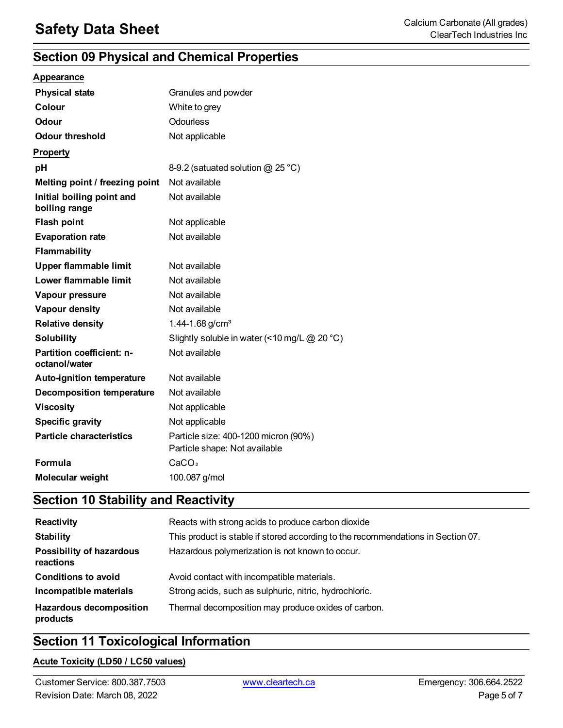## **Section 09 Physical and Chemical Properties**

|  | <b>Appearance</b> |  |
|--|-------------------|--|

| <b>Physical state</b>                             | Granules and powder                                                   |
|---------------------------------------------------|-----------------------------------------------------------------------|
| Colour                                            | White to grey                                                         |
| Odour                                             | Odourless                                                             |
| <b>Odour threshold</b>                            | Not applicable                                                        |
| <b>Property</b>                                   |                                                                       |
| pH                                                | 8-9.2 (satuated solution $@$ 25 °C)                                   |
| Melting point / freezing point                    | Not available                                                         |
| Initial boiling point and<br>boiling range        | Not available                                                         |
| <b>Flash point</b>                                | Not applicable                                                        |
| <b>Evaporation rate</b>                           | Not available                                                         |
| <b>Flammability</b>                               |                                                                       |
| <b>Upper flammable limit</b>                      | Not available                                                         |
| Lower flammable limit                             | Not available                                                         |
| Vapour pressure                                   | Not available                                                         |
| Vapour density                                    | Not available                                                         |
| <b>Relative density</b>                           | 1.44-1.68 $g/cm3$                                                     |
| <b>Solubility</b>                                 | Slightly soluble in water (<10 mg/L $@$ 20 °C)                        |
| <b>Partition coefficient: n-</b><br>octanol/water | Not available                                                         |
| <b>Auto-ignition temperature</b>                  | Not available                                                         |
| <b>Decomposition temperature</b>                  | Not available                                                         |
| <b>Viscosity</b>                                  | Not applicable                                                        |
| <b>Specific gravity</b>                           | Not applicable                                                        |
| <b>Particle characteristics</b>                   | Particle size: 400-1200 micron (90%)<br>Particle shape: Not available |
| <b>Formula</b>                                    | CaCO <sub>3</sub>                                                     |
| Molecular weight                                  | 100.087 g/mol                                                         |

## **Section 10 Stability and Reactivity**

| Reactivity                                 | Reacts with strong acids to produce carbon dioxide                               |
|--------------------------------------------|----------------------------------------------------------------------------------|
| <b>Stability</b>                           | This product is stable if stored according to the recommendations in Section 07. |
| Possibility of hazardous<br>reactions      | Hazardous polymerization is not known to occur.                                  |
| <b>Conditions to avoid</b>                 | Avoid contact with incompatible materials.                                       |
| Incompatible materials                     | Strong acids, such as sulphuric, nitric, hydrochloric.                           |
| <b>Hazardous decomposition</b><br>products | Thermal decomposition may produce oxides of carbon.                              |

### **Section 11 Toxicological Information**

### **Acute Toxicity (LD50 / LC50 values)**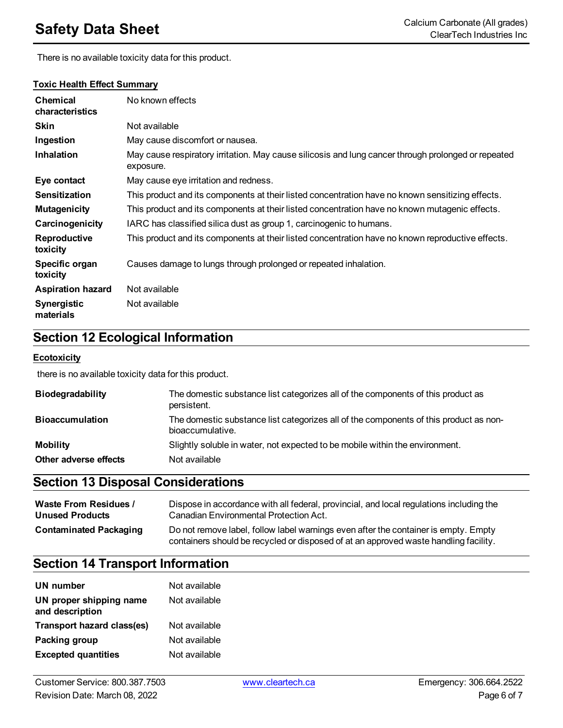**Toxic Health Effect Summary**

There is no available toxicity data for this product.

#### **Chemical characteristics** No known effects **Skin** Not available **Ingestion** May cause discomfort or nausea. **Inhalation** May cause respiratory irritation. May cause silicosis and lung cancer through prolonged or repeated exposure. **Eye contact** May cause eye irritation and redness. **Sensitization** This product and its components at their listed concentration have no known sensitizing effects. **Mutagenicity** This product and its components at their listed concentration have no known mutagenic effects. **Carcinogenicity** IARC has classified silica dust as group 1, carcinogenic to humans. **Reproductive toxicity** This product and its components at their listed concentration have no known reproductive effects. **Specific organ toxicity** Causes damage to lungs through prolonged or repeated inhalation. **Aspiration hazard** Not available **Synergistic materials** Not available

## **Section 12 Ecological Information**

### **Ecotoxicity**

there is no available toxicity data for this product.

| <b>Biodegradability</b> | The domestic substance list categorizes all of the components of this product as<br>persistent.           |
|-------------------------|-----------------------------------------------------------------------------------------------------------|
| <b>Bioaccumulation</b>  | The domestic substance list categorizes all of the components of this product as non-<br>bioaccumulative. |
| <b>Mobility</b>         | Slightly soluble in water, not expected to be mobile within the environment.                              |
| Other adverse effects   | Not available                                                                                             |

### **Section 13 Disposal Considerations**

| <b>Waste From Residues /</b>  | Dispose in accordance with all federal, provincial, and local regulations including the                                                                                     |
|-------------------------------|-----------------------------------------------------------------------------------------------------------------------------------------------------------------------------|
| <b>Unused Products</b>        | Canadian Environmental Protection Act.                                                                                                                                      |
| <b>Contaminated Packaging</b> | Do not remove label, follow label warnings even after the container is empty. Empty<br>containers should be recycled or disposed of at an approved waste handling facility. |

### **Section 14 Transport Information**

| UN number                                  | Not available |
|--------------------------------------------|---------------|
| UN proper shipping name<br>and description | Not available |
| Transport hazard class(es)                 | Not available |
| Packing group                              | Not available |
| <b>Excepted quantities</b>                 | Not available |